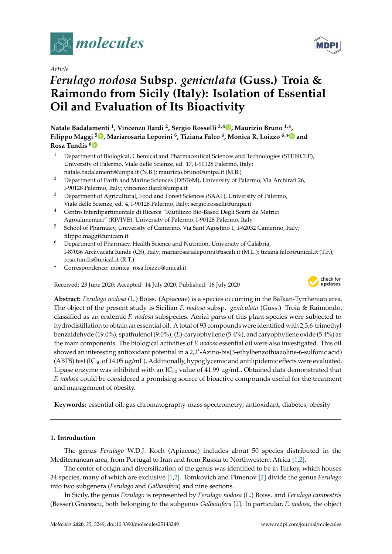

*Article*

# *Ferulago nodosa* **Subsp.** *geniculata* **(Guss.) Troia & Raimondo from Sicily (Italy): Isolation of Essential Oil and Evaluation of Its Bioactivity**

**Natale Badalamenti <sup>1</sup> , Vincenzo Ilardi <sup>2</sup> , Sergio Rosselli 3,[4](https://orcid.org/0000-0002-2448-9192) , Maurizio Bruno 1,4 , Filippo Maggi [5](https://orcid.org/0000-0003-1375-4744) , Mariarosaria Leporini <sup>6</sup> , Tiziana Falco <sup>6</sup> , Monica R. Loizzo 6,[\\*](https://orcid.org/0000-0002-6050-9357) and Rosa Tundis [6](https://orcid.org/0000-0002-3713-4403)**

- <sup>1</sup> Department of Biological, Chemical and Pharmaceutical Sciences and Technologies (STEBICEF), University of Palermo, Viale delle Scienze, ed. 17, I-90128 Palermo, Italy; natale.badalamenti@unipa.it (N.B.); maurizio.bruno@unipa.it (M.B.)
- <sup>2</sup> Department of Earth and Marine Sciences (DISTeM), University of Palermo, Via Archirafi 26, I-90128 Palermo, Italy; vincenzo.ilardi@unipa.it
- <sup>3</sup> Department of Agricultural, Food and Forest Sciences (SAAF), University of Palermo, Viale delle Scienze, ed. 4, I-90128 Palermo, Italy; sergio.rosselli@unipa.it
- <sup>4</sup> Centro Interdipartimentale di Ricerca "Riutilizzo Bio-Based Degli Scarti da Matrici Agroalimentari" (RIVIVE), University of Palermo, I-90128 Palermo, Italy
- <sup>5</sup> School of Pharmacy, University of Camerino, Via Sant'Agostino 1, I-62032 Camerino, Italy; filippo.maggi@unicam.it
- $6$  Department of Pharmacy, Health Science and Nutrition, University of Calabria, I-87036 Arcavacata Rende (CS), Italy; mariarosarialeporini@tiscali.it (M.L.); tiziana.falco@unical.it (T.F.); rosa.tundis@unical.it (R.T.)
- **\*** Correspondence: monica\_rosa.loizzo@unical.it

Received: 23 June 2020; Accepted: 14 July 2020; Published: 16 July 2020



**Abstract:** *Ferulago nodosa* (L.) Boiss. (Apiaceae) is a species occurring in the Balkan-Tyrrhenian area. The object of the present study is Sicilian *F. nodosa* subsp. *geniculata* (Guss.) Troia & Raimondo, classified as an endemic *F. nodosa* subspecies. Aerial parts of this plant species were subjected to hydrodistillation to obtain an essential oil. A total of 93 compounds were identified with 2,3,6-trimethyl benzaldehyde (19.0%), spathulenol (9.0%), (*E*)-caryophyllene (5.4%), and caryophyllene oxide (5.4%) as the main components. The biological activities of *F. nodosa* essential oil were also investigated. This oil showed an interesting antioxidant potential in a 2,2'-Azino-bis(3-ethylbenzothiazoline-6-sulfonic acid) (ABTS) test (IC $_{50}$  of 14.05  $\mu$ g/mL). Additionally, hypoglycemic and antilipidemic effects were evaluated. Lipase enzyme was inhibited with an  $IC_{50}$  value of 41.99  $\mu$ g/mL. Obtained data demonstrated that *F. nodosa* could be considered a promising source of bioactive compounds useful for the treatment and management of obesity.

**Keywords:** essential oil; gas chromatography-mass spectrometry; antioxidant; diabetes; obesity

# **1. Introduction**

The genus *Ferulago* W.D.J. Koch (Apiaceae) includes about 50 species distributed in the Mediterranean area, from Portugal to Iran and from Russia to Northwestern Africa [\[1,](#page-8-0)[2\]](#page-8-1).

The center of origin and diversification of the genus was identified to be in Turkey, which houses 34 species, many of which are exclusive [\[1](#page-8-0)[,2\]](#page-8-1). Tomkovich and Pimenov [\[2\]](#page-8-1) divide the genus *Ferulago* into two subgenera (*Ferulago* and *Galbanifera*) and nine sections.

In Sicily, the genus *Ferulago* is represented by *Ferulago nodosa* (L.) Boiss. and *Ferulago campestris* (Besser) Grecescu, both belonging to the subgenus *Galbanifera* [\[2\]](#page-8-1). In particular, *F. nodosa*, the object

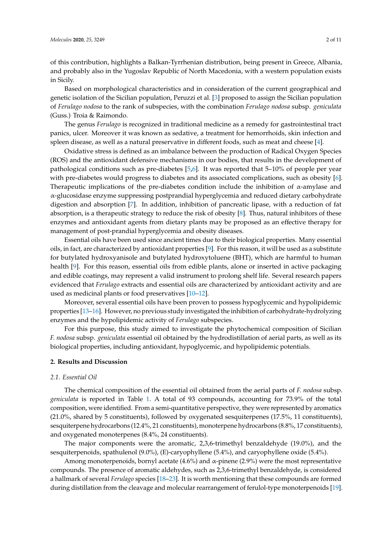of this contribution, highlights a Balkan-Tyrrhenian distribution, being present in Greece, Albania, and probably also in the Yugoslav Republic of North Macedonia, with a western population exists in Sicily.

Based on morphological characteristics and in consideration of the current geographical and genetic isolation of the Sicilian population, Peruzzi et al. [\[3\]](#page-8-2) proposed to assign the Sicilian population of *Ferulago nodosa* to the rank of subspecies, with the combination *Ferulago nodosa* subsp. *geniculata* (Guss.) Troia & Raimondo.

The genus *Ferulago* is recognized in traditional medicine as a remedy for gastrointestinal tract panics, ulcer. Moreover it was known as sedative, a treatment for hemorrhoids, skin infection and spleen disease, as well as a natural preservative in different foods, such as meat and cheese [\[4\]](#page-8-3).

Oxidative stress is defined as an imbalance between the production of Radical Oxygen Species (ROS) and the antioxidant defensive mechanisms in our bodies, that results in the development of pathological conditions such as pre-diabetes [\[5,](#page-8-4)[6\]](#page-8-5). It was reported that 5–10% of people per year with pre-diabetes would progress to diabetes and its associated complications, such as obesity [\[6\]](#page-8-5). Therapeutic implications of the pre-diabetes condition include the inhibition of  $\alpha$ -amylase and α-glucosidase enzyme suppressing postprandial hyperglycemia and reduced dietary carbohydrate digestion and absorption [\[7\]](#page-8-6). In addition, inhibition of pancreatic lipase, with a reduction of fat absorption, is a therapeutic strategy to reduce the risk of obesity [\[8\]](#page-8-7). Thus, natural inhibitors of these enzymes and antioxidant agents from dietary plants may be proposed as an effective therapy for management of post-prandial hyperglycemia and obesity diseases.

Essential oils have been used since ancient times due to their biological properties. Many essential oils, in fact, are characterized by antioxidant properties [\[9\]](#page-8-8). For this reason, it will be used as a substitute for butylated hydroxyanisole and butylated hydroxytoluene (BHT), which are harmful to human health [\[9\]](#page-8-8). For this reason, essential oils from edible plants, alone or inserted in active packaging and edible coatings, may represent a valid instrument to prolong shelf life. Several research papers evidenced that *Ferulago* extracts and essential oils are characterized by antioxidant activity and are used as medicinal plants or food preservatives [\[10–](#page-8-9)[12\]](#page-8-10).

Moreover, several essential oils have been proven to possess hypoglycemic and hypolipidemic properties [\[13](#page-8-11)[–16\]](#page-8-12). However, no previous study investigated the inhibition of carbohydrate-hydrolyzing enzymes and the hypolipidemic activity of *Ferulago* subspecies.

For this purpose, this study aimed to investigate the phytochemical composition of Sicilian *F. nodosa* subsp. *geniculata* essential oil obtained by the hydrodistillation of aerial parts, as well as its biological properties, including antioxidant, hypoglycemic, and hypolipidemic potentials.

## **2. Results and Discussion**

## *2.1. Essential Oil*

The chemical composition of the essential oil obtained from the aerial parts of *F. nodosa* subsp. *geniculata* is reported in Table [1.](#page-3-0) A total of 93 compounds, accounting for 73.9% of the total composition, were identified. From a semi-quantitative perspective, they were represented by aromatics (21.0%, shared by 5 constituents), followed by oxygenated sesquiterpenes (17.5%, 11 constituents), sesquiterpene hydrocarbons (12.4%, 21 constituents), monoterpene hydrocarbons (8.8%, 17 constituents), and oxygenated monoterpenes (8.4%, 24 constituents).

The major components were the aromatic, 2,3,6-trimethyl benzaldehyde (19.0%), and the sesquiterpenoids, spathulenol (9.0%), (E)-caryophyllene (5.4%), and caryophyllene oxide (5.4%).

Among monoterpenoids, bornyl acetate  $(4.6\%)$  and  $\alpha$ -pinene  $(2.9\%)$  were the most representative compounds. The presence of aromatic aldehydes, such as 2,3,6-trimethyl benzaldehyde, is considered a hallmark of several *Ferulago* species [\[18–](#page-8-13)[23\]](#page-9-0). It is worth mentioning that these compounds are formed during distillation from the cleavage and molecular rearrangement of ferulol-type monoterpenoids [\[19\]](#page-8-14).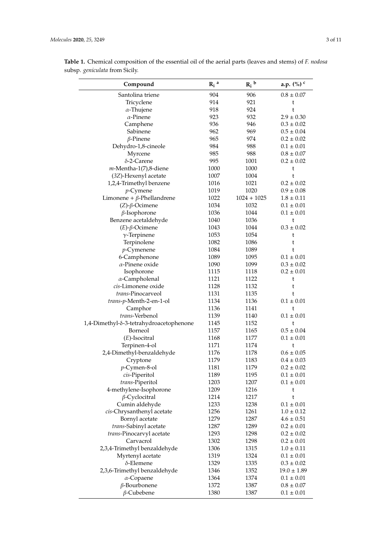| Compound                                | $R_i$ <sup>a</sup> | $R_i^{\ b}$   | a.p. (%) c      |
|-----------------------------------------|--------------------|---------------|-----------------|
| Santolina triene                        | 904                | 906           | $0.8 \pm 0.07$  |
| Tricyclene                              | 914                | 921           | t               |
| $\alpha$ -Thujene                       | 918                | 924           | t               |
| $\alpha$ -Pinene                        | 923                | 932           | $2.9 \pm 0.30$  |
| Camphene                                | 936                | 946           | $0.3 \pm 0.02$  |
| Sabinene                                | 962                | 969           | $0.5 \pm 0.04$  |
|                                         | 965                | 974           | $0.2 \pm 0.02$  |
| $\beta$ -Pinene                         |                    | 988           |                 |
| Dehydro-1,8-cineole                     | 984                |               | $0.1 \pm 0.01$  |
| Myrcene                                 | 985                | 988           | $0.8 \pm 0.07$  |
| $\delta$ -2-Carene                      | 995                | 1001          | $0.2 \pm 0.02$  |
| $m$ -Mentha-1(7),8-diene                | 1000               | 1000          | t               |
| (3Z)-Hexenyl acetate                    | 1007               | 1004          | t               |
| 1,2,4-Trimethyl benzene                 | 1016               | 1021          | $0.2 \pm 0.02$  |
| $p$ -Cymene                             | 1019               | 1020          | $0.9 \pm 0.08$  |
| Limonene + $\beta$ -Phellandrene        | 1022               | $1024 + 1025$ | $1.8 \pm 0.11$  |
| $(Z)$ - $\beta$ -Ocimene                | 1034               | 1032          | $0.1 \pm 0.01$  |
| $\beta$ -Isophorone                     | 1036               | 1044          | $0.1 \pm 0.01$  |
| Benzene acetaldehyde                    | 1040               | 1036          | t               |
| $(E)$ - $\beta$ -Ocimene                | 1043               | 1044          | $0.3 \pm 0.02$  |
| $\gamma$ -Terpinene                     | 1053               | 1054          | t               |
| Terpinolene                             | 1082               | 1086          | t               |
| $p$ -Cymenene                           | 1084               | 1089          | t               |
| 6-Camphenone                            | 1089               | 1095          | $0.1 \pm 0.01$  |
| $\alpha$ -Pinene oxide                  | 1090               | 1099          | $0.3 \pm 0.02$  |
| Isophorone                              | 1115               | 1118          | $0.2 \pm 0.01$  |
|                                         | 1121               | 1122          |                 |
| $\alpha$ -Campholenal                   |                    |               | t               |
| cis-Limonene oxide                      | 1128               | 1132          | t               |
| trans-Pinocarveol                       | 1131               | 1135          | t               |
| trans-p-Menth-2-en-1-ol                 | 1134               | 1136          | $0.1\pm0.01$    |
| Camphor                                 | 1136               | 1141          | t               |
| trans-Verbenol                          | 1139               | 1140          | $0.1 \pm 0.01$  |
| 1,4-Dimethyl-δ-3-tetrahydroacetophenone | 1145               | 1152          | t               |
| Borneol                                 | 1157               | 1165          | $0.5 \pm 0.04$  |
| $(E)$ -Isocitral                        | 1168               | 1177          | $0.1 \pm 0.01$  |
| Terpinen-4-ol                           | 1171               | 1174          | t               |
| 2,4-Dimethyl-benzaldehyde               | 1176               | 1178          | $0.6 \pm 0.05$  |
| Cryptone                                | 1179               | 1183          | $0.4 \pm 0.03$  |
| <i>p</i> -Cymen-8-ol                    | 1181               | 1179          | $0.2 \pm 0.02$  |
| cis-Piperitol                           | 1189               | 1195          | $0.1 \pm 0.01$  |
| trans-Piperitol                         | 1203               | 1207          | $0.1 \pm 0.01$  |
| 4-methylene-Isophorone                  | 1209               | 1216          | t               |
| $\beta$ -Cyclocitral                    | 1214               | 1217          | t               |
| Cumin aldehyde                          | 1233               | 1238          | $0.1 \pm 0.01$  |
|                                         | 1256               | 1261          | $1.0 \pm 0.12$  |
| cis-Chrysanthenyl acetate               |                    |               |                 |
| Bornyl acetate                          | 1279               | 1287          | $4.6 \pm 0.51$  |
| trans-Sabinyl acetate                   | 1287               | 1289          | $0.2 \pm 0.01$  |
| trans-Pinocarvyl acetate                | 1293               | 1298          | $0.2 \pm 0.02$  |
| Carvacrol                               | 1302               | 1298          | $0.2 \pm 0.01$  |
| 2,3,4-Trimethyl benzaldehyde            | 1306               | 1315          | $1.0 \pm 0.11$  |
| Myrtenyl acetate                        | 1319               | 1324          | $0.1 \pm 0.01$  |
| $\delta$ -Elemene                       | 1329               | 1335          | $0.3 \pm 0.02$  |
| 2,3,6-Trimethyl benzaldehyde            | 1346               | 1352          | $19.0 \pm 1.89$ |
| $\alpha$ -Copaene                       | 1364               | 1374          | $0.1 \pm 0.01$  |
| $\beta$ -Bourbonene                     | 1372               | 1387          | $0.8 \pm 0.07$  |
| $\beta$ -Cubebene                       | 1380               | 1387          | $0.1 \pm 0.01$  |

**Table 1.** Chemical composition of the essential oil of the aerial parts (leaves and stems) of *F. nodosa* subsp. *geniculata* from Sicily.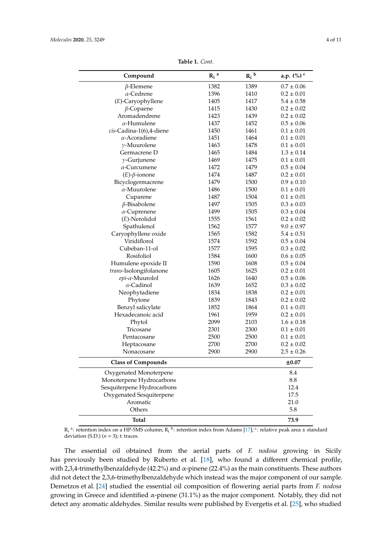<span id="page-3-0"></span>

| Compound                   | $R_i$ <sup>a</sup> | $R_i^{\ b}$    | a.p. (%) c      |
|----------------------------|--------------------|----------------|-----------------|
| $\beta$ -Elemene           | 1382               | 1389           | $0.7 \pm 0.06$  |
| $\alpha$ -Cedrene          | 1396               | 1410           | $0.2\pm0.01$    |
| (E)-Caryophyllene          | 1405               | 1417           | $5.4 \pm 0.58$  |
| $\beta$ -Copaene           | 1415               | 1430           | $0.2 \pm 0.02$  |
| Aromadendrene              | 1423               | 1439           | $0.2 \pm 0.02$  |
| $\alpha$ -Humulene         | 1437               | 1452           | $0.5 \pm 0.06$  |
| cis-Cadina-1(6),4-diene    | 1450               | 1461           | $0.1 \pm 0.01$  |
| $\alpha$ -Acoradiene       | 1451               | 1464           | $0.1 \pm 0.01$  |
| $\gamma$ -Muurolene        | 1463               | 1478           | $0.1 \pm 0.01$  |
| Germacrene D               | 1465               | 1484           | $1.3 \pm 0.14$  |
| $\gamma$ -Gurjunene        | 1469               | 1475           | $0.1 \pm 0.01$  |
| $\alpha$ -Curcumene        | 1472               | 1479           | $0.5 \pm 0.04$  |
| $(E)$ - $\beta$ -ionone    | 1474               | 1487           | $0.2 \pm 0.01$  |
| Bicyclogermacrene          | 1479               | 1500           | $0.9 \pm 0.10$  |
| $\alpha$ -Muurolene        | 1486               | 1500           | $0.1 \pm 0.01$  |
| Cuparene                   | 1487               | 1504           | $0.1 \pm 0.01$  |
| $\beta$ -Bisabolene        | 1497               | 1505           | $0.3 \pm 0.03$  |
| $\alpha$ -Cuprenene        | 1499               | 1505           | $0.3 \pm 0.04$  |
| $(E)$ -Nerolidol           | 1555               | 1561           | $0.2\pm0.02$    |
| Spathulenol                | 1562               | 1577           | $9.0 \pm 0.97$  |
| Caryophyllene oxide        | 1565               | 1582           | $5.4\pm0.51$    |
| Viridiflorol               | 1574               | 1592           | $0.5 \pm 0.04$  |
| Cubeban-11-ol              | 1577               | 1595           | $0.3 \pm 0.02$  |
| Rosifoliol                 | 1584               | 1600           | $0.6 \pm 0.05$  |
| Humulene epoxide II        | 1590               | 1608           | $0.5 \pm 0.04$  |
| trans-Isolongifolanone     | 1605               | 1625           | $0.2\pm0.01$    |
| epi-α-Muurolol             | 1626               | 1640           | $0.5 \pm 0.06$  |
| $\alpha$ -Cadinol          | 1639               | 1652           | $0.3 \pm 0.02$  |
| Neophytadiene              | 1834               | 1838           | $0.2 \pm 0.01$  |
| Phytone                    | 1839               | 1843           | $0.2 \pm 0.02$  |
| Benzyl salicylate          | 1852               | 1864           | $0.1 \pm 0.01$  |
| Hexadecanoic acid          | 1961               | 1959           | $0.2\pm0.01$    |
| Phytol                     | 2099               | 2103           | $1.6 \pm 0.18$  |
| Tricosane                  | 2301               | 2300           | $0.1\pm0.01$    |
| Pentacosane                | 2500               | 2500           | $0.1 \pm 0.01$  |
| Heptacosane                | 2700               | 2700           | $0.2 \pm 0.02$  |
| 2900<br>Nonacosane<br>2900 |                    | $2.5 \pm 0.26$ |                 |
| <b>Class of Compounds</b>  |                    |                | $\pm 0.07$      |
| Oxygenated Monoterpene     |                    |                | 8.4             |
| Monoterpene Hydrocarbons   |                    |                | $\!\!\!\!\!8.8$ |
| Sesquiterpene Hydrocarbons |                    |                | 12.4            |
| Oxygenated Sesquiterpene   |                    |                | 17.5            |
| Aromatic                   |                    |                | 21.0            |
| Others                     |                    |                | 5.8             |
| <b>Total</b>               |                    |                | 73.9            |

**Table 1.** *Cont.*

 $R_i$ <sup>a</sup>: retention index on a HP-5MS column;  $R_i$ <sup>b</sup>: retention index from Adams [\[17\]](#page-8-15); <sup>c</sup>: relative peak area  $\pm$  standard deviation (S.D.)  $(n = 3)$ ; t: traces.

The essential oil obtained from the aerial parts of *F. nodosa* growing in Sicily has previously been studied by Ruberto et al. [\[18\]](#page-8-13), who found a different chemical profile, with 2,3,4-trimethylbenzaldehyde (42.2%) and  $\alpha$ -pinene (22.4%) as the main constituents. These authors did not detect the 2,3,6-trimethylbenzaldehyde which instead was the major component of our sample. Demetzos et al. [\[24\]](#page-9-1) studied the essential oil composition of flowering aerial parts from *F. nodosa* growing in Greece and identified α-pinene (31.1%) as the major component. Notably, they did not detect any aromatic aldehydes. Similar results were published by Evergetis et al. [\[25\]](#page-9-2), who studied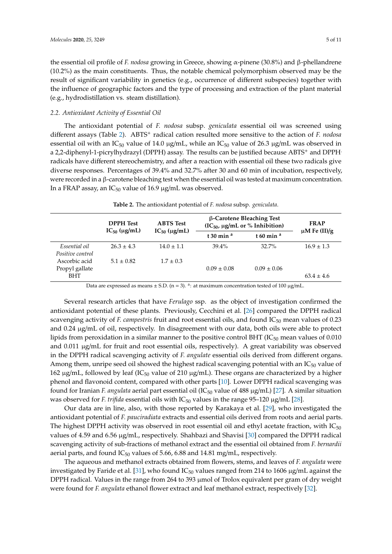the essential oil profile of *F. nodosa* growing in Greece, showing α-pinene (30.8%) and β-phellandrene (10.2%) as the main constituents. Thus, the notable chemical polymorphism observed may be the result of significant variability in genetics (e.g., occurrence of different subspecies) together with the influence of geographic factors and the type of processing and extraction of the plant material (e.g., hydrodistillation vs. steam distillation).

## *2.2. Antioxidant Activity of Essential Oil*

The antioxidant potential of *F. nodosa* subsp. *geniculata* essential oil was screened using different assays (Table [2\)](#page-4-0). ABTS<sup>+</sup> radical cation resulted more sensitive to the action of *F. nodosa* essential oil with an IC<sub>50</sub> value of 14.0  $\mu$ g/mL, while an IC<sub>50</sub> value of 26.3  $\mu$ g/mL was observed in a 2,2-diphenyl-1-picrylhydrazyl (DPPH) assay. The results can be justified because ABTS<sup>+</sup> and DPPH. radicals have different stereochemistry, and after a reaction with essential oil these two radicals give diverse responses. Percentages of 39.4% and 32.7% after 30 and 60 min of incubation, respectively, were recorded in a β-carotene bleaching test when the essential oil was tested at maximum concentration. In a FRAP assay, an  $IC_{50}$  value of 16.9  $\mu$ g/mL was observed.

| Table 2. The antioxidant potential of F. nodosa subsp. geniculata. |  |
|--------------------------------------------------------------------|--|
|--------------------------------------------------------------------|--|

<span id="page-4-0"></span>

|                                   | <b>DPPH Test</b>        | $\beta$ -Carotene Bleaching Test<br><b>ABTS</b> Test<br>$(IC_{50}, \mu g/mL$ or % Inhibition) |                 | <b>FRAP</b><br>$\mu$ M Fe (II)/g |                |
|-----------------------------------|-------------------------|-----------------------------------------------------------------------------------------------|-----------------|----------------------------------|----------------|
|                                   | $IC_{50}$ ( $\mu$ g/mL) | $IC_{50}$ ( $\mu$ g/mL)                                                                       | t 30 min $a$    | t 60 min $a$                     |                |
| Essential oil<br>Positive control | $26.3 \pm 4.3$          | $14.0 \pm 1.1$                                                                                | $39.4\%$        | 32.7%                            | $16.9 \pm 1.3$ |
| Ascorbic acid<br>Propyl gallate   | $5.1 \pm 0.82$          | $1.7 \pm 0.3$                                                                                 | $0.09 \pm 0.08$ | $0.09 \pm 0.06$                  |                |
| BHT                               |                         |                                                                                               |                 |                                  | $63.4 \pm 4.6$ |

Data are expressed as means  $\pm$  S.D. (n = 3). <sup>a</sup>: at maximum concentration tested of 100  $\mu$ g/mL.

Several research articles that have *Ferulago* ssp. as the object of investigation confirmed the antioxidant potential of these plants. Previously, Cecchini et al. [\[26\]](#page-9-3) compared the DPPH radical scavenging activity of *F. campestris* fruit and root essential oils, and found IC<sub>50</sub> mean values of 0.23 and 0.24  $\mu$ g/mL of oil, respectively. In disagreement with our data, both oils were able to protect lipids from peroxidation in a similar manner to the positive control BHT ( $IC_{50}$  mean values of 0.010 and 0.011 µg/mL for fruit and root essential oils, respectively). A great variability was observed in the DPPH radical scavenging activity of *F. angulate* essential oils derived from different organs. Among them, unripe seed oil showed the highest radical scavenging potential with an  $IC_{50}$  value of 162  $\mu$ g/mL, followed by leaf (IC<sub>50</sub> value of 210  $\mu$ g/mL). These organs are characterized by a higher phenol and flavonoid content, compared with other parts [\[10\]](#page-8-9). Lower DPPH radical scavenging was found for Iranian *F. angulata* aerial part essential oil (IC<sup>50</sup> value of 488 µg/mL) [\[27\]](#page-9-4). A similar situation was observed for *F. trifida* essential oils with  $IC_{50}$  values in the range 95–120  $\mu$ g/mL [\[28\]](#page-9-5).

Our data are in line, also, with those reported by Karakaya et al. [\[29\]](#page-9-6), who investigated the antioxidant potential of *F. pauciradiata* extracts and essential oils derived from roots and aerial parts. The highest DPPH activity was observed in root essential oil and ethyl acetate fraction, with  $IC_{50}$ values of 4.59 and 6.56 µg/mL, respectively. Shahbazi and Shavisi [\[30\]](#page-9-7) compared the DPPH radical scavenging activity of sub-fractions of methanol extract and the essential oil obtained from *F. bernardii* aerial parts, and found  $IC_{50}$  values of 5.66, 6.88 and 14.81 mg/mL, respectively.

The aqueous and methanol extracts obtained from flowers, stems, and leaves of *F. angulata* were investigated by Faride et al. [\[31\]](#page-9-8), who found  $IC_{50}$  values ranged from 214 to 1606  $\mu$ g/mL against the DPPH radical. Values in the range from 264 to 393 µmol of Trolox equivalent per gram of dry weight were found for *F. angulata* ethanol flower extract and leaf methanol extract, respectively [\[32\]](#page-9-9).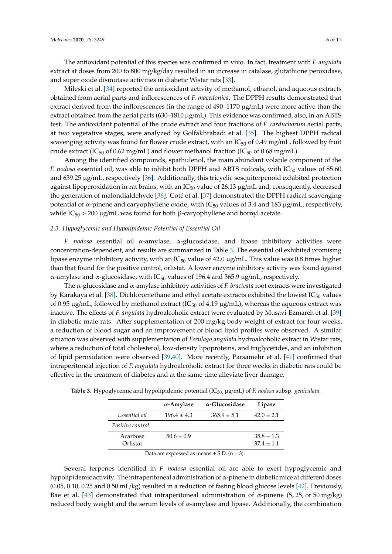The antioxidant potential of this species was confirmed in vivo. In fact, treatment with *F. angulata* extract at doses from 200 to 800 mg/kg/day resulted in an increase in catalase, glutathione peroxidase, and super oxide dismutase activities in diabetic Wistar rats [\[33\]](#page-9-10).

Mileski et al. [\[34\]](#page-9-11) reported the antioxidant activity of methanol, ethanol, and aqueous extracts obtained from aerial parts and inflorescences of *F. macedonica*. The DPPH results demonstrated that extract derived from the inflorescences (in the range of  $490-1170 \mu g/mL$ ) were more active than the extract obtained from the aerial parts (630–1810  $\mu$ g/mL). This evidence was confirmed, also, in an ABTS test. The antioxidant potential of the crude extract and four fractions of *F. carduchorum* aerial parts, at two vegetative stages, were analyzed by Golfakhrabadi et al. [\[35\]](#page-9-12). The highest DPPH radical scavenging activity was found for flower crude extract, with an  $IC_{50}$  of 0.49 mg/mL, followed by fruit crude extract (IC<sub>50</sub> of 0.62 mg/mL) and flower methanol fraction (IC<sub>50</sub> of 0.68 mg/mL).

Among the identified compounds, spathulenol, the main abundant volatile component of the *F. nodosa* essential oil, was able to inhibit both DPPH and ABTS radicals, with IC<sub>50</sub> values of 85.60 and 639.25  $\mu$ g/mL, respectively [\[36\]](#page-9-13). Additionally, this tricyclic sesquiterpenoid exhibited protection against lipoperoxidation in rat brains, with an  $IC_{50}$  value of 26.13  $\mu$ g/mL and, consequently, decreased the generation of malondialdehyde [\[36\]](#page-9-13). Coté et al. [\[37\]](#page-9-14) demonstrated the DPPH radical scavenging potential of α-pinene and caryophyllene oxide, with IC<sub>50</sub> values of 3.4 and 183  $\mu$ g/mL, respectively, while IC<sub>50</sub> > 200 µg/mL was found for both β-caryophyllene and bornyl acetate.

#### *2.3. Hypoglycemic and Hypolipidemic Potential of Essential Oil*

*F. nodosa* essential oil α-amylase, α-glucosidase, and lipase inhibitory activities were concentration-dependent, and results are summarized in Table [3.](#page-5-0) The essential oil exhibited promising lipase enzyme inhibitory activity, with an  $IC_{50}$  value of 42.0  $\mu$ g/mL. This value was 0.8 times higher than that found for the positive control, orlistat. A lower enzyme inhibitory activity was found against α-amylase and α-glucosidase, with IC<sub>50</sub> values of 196.4 and 365.9  $\mu$ g/mL, respectively.

The α-glucosidase and α-amylase inhibitory activities of *F. bracteata* root extracts were investigated by Karakaya et al. [\[38\]](#page-9-15). Dichloromethane and ethyl acetate extracts exhibited the lowest  $IC_{50}$  values of 0.95  $\mu$ g/mL, followed by methanol extract (IC<sub>50</sub> of 4.19  $\mu$ g/mL), whereas the aqueous extract was inactive. The effects of *F. angulata* hydroalcoholic extract were evaluated by Musavi-Ezmareh et al. [\[39\]](#page-9-16) in diabetic male rats. After supplementation of 200 mg/kg body weight of extract for four weeks, a reduction of blood sugar and an improvement of blood lipid profiles were observed. A similar situation was observed with supplementation of *Ferulago angulata* hydroalcoholic extract in Wistar rats, where a reduction of total cholesterol, low-density lipoproteins, and triglycerides, and an inhibition of lipid peroxidation were observed [\[39](#page-9-16)[,40\]](#page-9-17). More recently, Parsamehr et al. [\[41\]](#page-9-18) confirmed that intraperitoneal injection of *F. angulata* hydroalcoholic extract for three weeks in diabetic rats could be effective in the treatment of diabetes and at the same time alleviate liver damage.

|                      | $\alpha$ -Amylase | $\alpha$ -Glucosidase | Lipase                         |
|----------------------|-------------------|-----------------------|--------------------------------|
| Essential oil        | $196.4 \pm 4.3$   | $365.9 \pm 5.1$       | $42.0 \pm 2.1$                 |
| Positive control     |                   |                       |                                |
| Acarbose<br>Orlistat | $50.6 \pm 0.9$    |                       | $35.8 \pm 1.3$<br>$37.4 + 1.1$ |

<span id="page-5-0"></span>**Table 3.** Hypoglycemic and hypolipidemic potential (IC50, µg/mL) of *F. nodosa* subsp. *geniculata*.

Data are expressed as means  $\pm$  S.D. (n = 3).

Several terpenes identified in *F. nodosa* essential oil are able to exert hypoglycemic and hypolipidemic activity. The intraperitoneal administration of  $\alpha$ -pinene in diabetic mice at different doses (0.05, 0.10, 0.25 and 0.50 mL/kg) resulted in a reduction of fasting blood glucose levels [\[42\]](#page-10-0). Previously, Bae et al. [\[43\]](#page-10-1) demonstrated that intraperitoneal administration of  $\alpha$ -pinene (5, 25, or 50 mg/kg) reduced body weight and the serum levels of  $\alpha$ -amylase and lipase. Additionally, the combination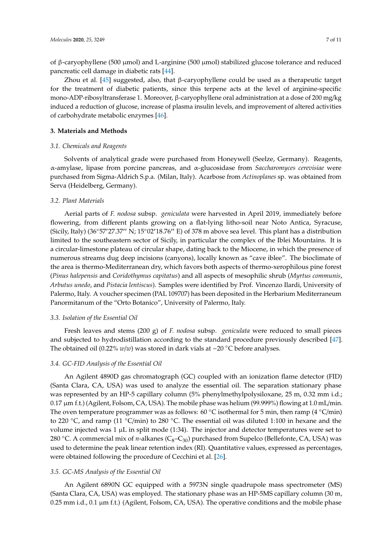of β-caryophyllene (500 µmol) and L-arginine (500 µmol) stabilized glucose tolerance and reduced pancreatic cell damage in diabetic rats [\[44\]](#page-10-2).

Zhou et al. [\[45\]](#page-10-3) suggested, also, that β-caryophyllene could be used as a therapeutic target for the treatment of diabetic patients, since this terpene acts at the level of arginine-specific mono-ADP-ribosyltransferase 1. Moreover, β-caryophyllene oral administration at a dose of 200 mg/kg induced a reduction of glucose, increase of plasma insulin levels, and improvement of altered activities of carbohydrate metabolic enzymes [\[46\]](#page-10-4).

## **3. Materials and Methods**

## *3.1. Chemicals and Reagents*

Solvents of analytical grade were purchased from Honeywell (Seelze, Germany). Reagents, α-amylase, lipase from porcine pancreas, and α-glucosidase from *Saccharomyces cerevisiae* were purchased from Sigma-Aldrich S.p.a. (Milan, Italy). Acarbose from *Actinoplanes* sp. was obtained from Serva (Heidelberg, Germany).

#### *3.2. Plant Materials*

Aerial parts of *F. nodosa* subsp. *geniculata* were harvested in April 2019, immediately before flowering, from different plants growing on a flat-lying litho-soil near Noto Antica, Syracuse, (Sicily, Italy) (36°57'27.37" N; 15°02'18.76" E) of 378 m above sea level. This plant has a distribution limited to the southeastern sector of Sicily, in particular the complex of the Iblei Mountains. It is a circular-limestone plateau of circular shape, dating back to the Miocene, in which the presence of numerous streams dug deep incisions (canyons), locally known as "cave iblee". The bioclimate of the area is thermo-Mediterranean dry, which favors both aspects of thermo-xerophilous pine forest (*Pinus halepensis* and *Coridothymus capitatus*) and all aspects of mesophilic shrub (*Myrtus communis*, *Arbutus unedo*, and *Pistacia lentiscus*). Samples were identified by Prof. Vincenzo Ilardi, University of Palermo, Italy. A voucher specimen (PAL 109707) has been deposited in the Herbarium Mediterraneum Panormitanum of the "Orto Botanico", University of Palermo, Italy.

#### *3.3. Isolation of the Essential Oil*

Fresh leaves and stems (200 g) of *F. nodosa* subsp. *geniculata* were reduced to small pieces and subjected to hydrodistillation according to the standard procedure previously described [\[47\]](#page-10-5). The obtained oil (0.22% *w*/*w*) was stored in dark vials at −20 ◦C before analyses.

#### *3.4. GC-FID Analysis of the Essential Oil*

An Agilent 4890D gas chromatograph (GC) coupled with an ionization flame detector (FID) (Santa Clara, CA, USA) was used to analyze the essential oil. The separation stationary phase was represented by an HP-5 capillary column (5% phenylmethylpolysiloxane, 25 m, 0.32 mm i.d.; 0.17 µm f.t.) (Agilent, Folsom, CA, USA). The mobile phase was helium (99.999%) flowing at 1.0 mL/min. The oven temperature programmer was as follows: 60 °C isothermal for 5 min, then ramp (4 °C/min) to 220 ◦C, and ramp (11 ◦C/min) to 280 ◦C. The essential oil was diluted 1:100 in hexane and the volume injected was  $1 \mu$ L in split mode (1:34). The injector and detector temperatures were set to 280 <sup>°</sup>C. A commercial mix of *n*-alkanes (C<sub>8</sub>−C<sub>30</sub>) purchased from Supelco (Bellefonte, CA, USA) was used to determine the peak linear retention index (RI). Quantitative values, expressed as percentages, were obtained following the procedure of Cecchini et al. [\[26\]](#page-9-3).

#### *3.5. GC-MS Analysis of the Essential Oil*

An Agilent 6890N GC equipped with a 5973N single quadrupole mass spectrometer (MS) (Santa Clara, CA, USA) was employed. The stationary phase was an HP-5MS capillary column (30 m, 0.25 mm i.d., 0.1  $\mu$ m f.t.) (Agilent, Folsom, CA, USA). The operative conditions and the mobile phase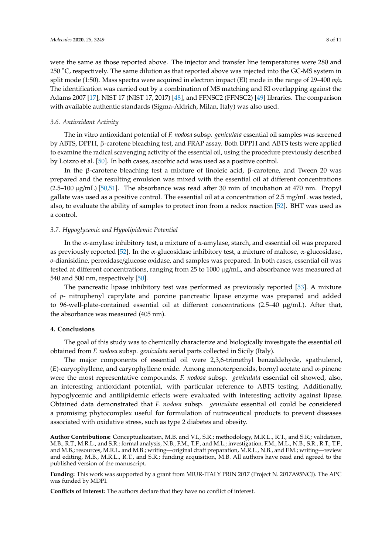were the same as those reported above. The injector and transfer line temperatures were 280 and 250 <sup>°</sup>C, respectively. The same dilution as that reported above was injected into the GC-MS system in split mode (1:50). Mass spectra were acquired in electron impact (EI) mode in the range of 29–400 *m*/*z*. The identification was carried out by a combination of MS matching and RI overlapping against the Adams 2007 [\[17\]](#page-8-15), NIST 17 (NIST 17, 2017) [\[48\]](#page-10-6), and FFNSC2 (FFNSC2) [\[49\]](#page-10-7) libraries. The comparison with available authentic standards (Sigma-Aldrich, Milan, Italy) was also used.

#### *3.6. Antioxidant Activity*

The in vitro antioxidant potential of *F. nodosa* subsp. *geniculata* essential oil samples was screened by ABTS, DPPH, β-carotene bleaching test, and FRAP assay. Both DPPH and ABTS tests were applied to examine the radical scavenging activity of the essential oil, using the procedure previously described by Loizzo et al. [\[50\]](#page-10-8). In both cases, ascorbic acid was used as a positive control.

In the β-carotene bleaching test a mixture of linoleic acid, β-carotene, and Tween 20 was prepared and the resulting emulsion was mixed with the essential oil at different concentrations  $(2.5-100 \,\mu g/mL)$  [\[50](#page-10-8)[,51\]](#page-10-9). The absorbance was read after 30 min of incubation at 470 nm. Propyl gallate was used as a positive control. The essential oil at a concentration of 2.5 mg/mL was tested, also, to evaluate the ability of samples to protect iron from a redox reaction [\[52\]](#page-10-10). BHT was used as a control.

#### *3.7. Hypoglycemic and Hypolipidemic Potential*

In the α-amylase inhibitory test, a mixture of α-amylase, starch, and essential oil was prepared as previously reported [\[52\]](#page-10-10). In the α-glucosidase inhibitory test, a mixture of maltose, α-glucosidase, *o*-dianisidine, peroxidase/glucose oxidase, and samples was prepared. In both cases, essential oil was tested at different concentrations, ranging from 25 to 1000 µg/mL, and absorbance was measured at 540 and 500 nm, respectively [\[50\]](#page-10-8).

The pancreatic lipase inhibitory test was performed as previously reported [\[53\]](#page-10-11). A mixture of *p*- nitrophenyl caprylate and porcine pancreatic lipase enzyme was prepared and added to 96-well-plate-contained essential oil at different concentrations (2.5–40 µg/mL). After that, the absorbance was measured (405 nm).

## **4. Conclusions**

The goal of this study was to chemically characterize and biologically investigate the essential oil obtained from *F. nodosa* subsp. *geniculata* aerial parts collected in Sicily (Italy).

The major components of essential oil were 2,3,6-trimethyl benzaldehyde, spathulenol, (*E*)-caryophyllene, and caryophyllene oxide. Among monoterpenoids, bornyl acetate and α-pinene were the most representative compounds. *F. nodosa* subsp. *geniculata* essential oil showed, also, an interesting antioxidant potential, with particular reference to ABTS testing. Additionally, hypoglycemic and antilipidemic effects were evaluated with interesting activity against lipase. Obtained data demonstrated that *F. nodosa* subsp. *geniculata* essential oil could be considered a promising phytocomplex useful for formulation of nutraceutical products to prevent diseases associated with oxidative stress, such as type 2 diabetes and obesity.

**Author Contributions:** Conceptualization, M.B. and V.I., S.R.; methodology, M.R.L., R.T., and S.R.; validation, M.B., R.T., M.R.L., and S.R.; formal analysis, N.B., F.M., T.F., and M.L.; investigation, F.M., M.L., N.B., S.R., R.T., T.F., and M.B.; resources, M.R.L. and M.B.; writing—original draft preparation, M.R.L., N.B., and F.M.; writing—review and editing, M.B., M.R.L., R.T., and S.R.; funding acquisition, M.B. All authors have read and agreed to the published version of the manuscript.

**Funding:** This work was supported by a grant from MIUR-ITALY PRIN 2017 (Project N. 2017A95NCJ). The APC was funded by MDPI.

**Conflicts of Interest:** The authors declare that they have no conflict of interest.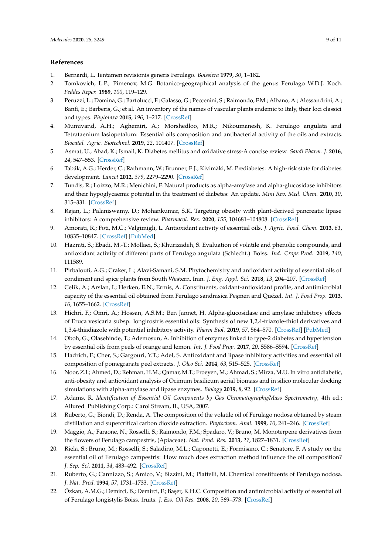## **References**

- <span id="page-8-0"></span>1. Bernardi, L. Tentamen revisionis generis Ferulago. *Boissiera* **1979**, *30*, 1–182.
- <span id="page-8-1"></span>2. Tomkovich, L.P.; Pimenov, M.G. Botanico-geographical analysis of the genus Ferulago W.D.J. Koch. *Feddes Reper.* **1989**, *100*, 119–129.
- <span id="page-8-2"></span>3. Peruzzi, L.; Domina, G.; Bartolucci, F.; Galasso, G.; Peccenini, S.; Raimondo, F.M.; Albano, A.; Alessandrini, A.; Banfi, E.; Barberis, G.; et al. An inventory of the names of vascular plants endemic to Italy, their loci classici and types. *Phytotaxa* **2015**, *196*, 1–217. [\[CrossRef\]](http://dx.doi.org/10.11646/phytotaxa.196.1.1)
- <span id="page-8-3"></span>4. Mumivand, A.H.; Aghemiri, A.; Morshedloo, M.R.; Nikoumanesh, K. Ferulago angulata and Tetrataenium lasiopetalum: Essential oils composition and antibacterial activity of the oils and extracts. *Biocatal. Agric. Biotechnol.* **2019**, *22*, 101407. [\[CrossRef\]](http://dx.doi.org/10.1016/j.bcab.2019.101407)
- <span id="page-8-4"></span>5. Asmat, U.; Abad, K.; Ismail, K. Diabetes mellitus and oxidative stress-A concise review. *Saudi Pharm. J.* **2016**, *24*, 547–553. [\[CrossRef\]](http://dx.doi.org/10.1016/j.jsps.2015.03.013)
- <span id="page-8-5"></span>6. Tabák, A.G.; Herder, C.; Rathmann, W.; Brunner, E.J.; Kivimäki, M. Prediabetes: A high-risk state for diabetes development. *Lancet* **2012**, *379*, 2279–2290. [\[CrossRef\]](http://dx.doi.org/10.1016/S0140-6736(12)60283-9)
- <span id="page-8-6"></span>7. Tundis, R.; Loizzo, M.R.; Menichini, F. Natural products as alpha-amylase and alpha-glucosidase inhibitors and their hypoglycaemic potential in the treatment of diabetes: An update. *Mini Rev. Med. Chem.* **2010**, *10*, 315–331. [\[CrossRef\]](http://dx.doi.org/10.2174/138955710791331007)
- <span id="page-8-7"></span>8. Rajan, L.; Palaniswamy, D.; Mohankumar, S.K. Targeting obesity with plant-derived pancreatic lipase inhibitors: A comprehensive review. *Pharmacol. Res.* **2020**, *155*, 104681–104808. [\[CrossRef\]](http://dx.doi.org/10.1016/j.phrs.2020.104681)
- <span id="page-8-8"></span>9. Amorati, R.; Foti, M.C.; Valgimigli, L. Antioxidant activity of essential oils. *J. Agric. Food. Chem.* **2013**, *61*, 10835–10847. [\[CrossRef\]](http://dx.doi.org/10.1021/jf403496k) [\[PubMed\]](http://www.ncbi.nlm.nih.gov/pubmed/24156356)
- <span id="page-8-9"></span>10. Hazrati, S.; Ebadi, M.-T.; Mollaei, S.; Khurizadeh, S. Evaluation of volatile and phenolic compounds, and antioxidant activity of different parts of Ferulago angulata (Schlecht.) Boiss. *Ind. Crops Prod.* **2019**, *140*, 111589.
- 11. Pirbalouti, A.G.; Craker, L.; Alavi-Samani, S.M. Phytochemistry and antioxidant activity of essential oils of condiment and spice plants from South Western, Iran. *J. Eng. Appl. Sci.* **2018**, *13*, 204–207. [\[CrossRef\]](http://dx.doi.org/10.3923/jeasci.2018.204.207)
- <span id="page-8-10"></span>12. Celik, A.; Arslan, I.; Herken, E.N.; Ermis, A. Constituents, oxidant-antioxidant profile, and antimicrobial capacity of the essential oil obtained from Ferulago sandrasica Peşmen and Quézel. *Int. J. Food Prop.* 2013, *16*, 1655–1662. [\[CrossRef\]](http://dx.doi.org/10.1080/10942912.2011.618898)
- <span id="page-8-11"></span>13. Hichri, F.; Omri, A.; Hossan, A.S.M.; Ben Jannet, H. Alpha-glucosidase and amylase inhibitory effects of Eruca vesicaria subsp. longirostris essential oils: Synthesis of new 1,2,4-triazole-thiol derivatives and 1,3,4-thiadiazole with potential inhibitory activity. *Pharm Biol.* **2019**, *57*, 564–570. [\[CrossRef\]](http://dx.doi.org/10.1080/13880209.2019.1642363) [\[PubMed\]](http://www.ncbi.nlm.nih.gov/pubmed/31454271)
- 14. Oboh, G.; Olasehinde, T.; Ademosun, A. Inhibition of enzymes linked to type-2 diabetes and hypertension by essential oils from peels of orange and lemon. *Int. J. Food Prop.* **2017**, *20*, S586–S594. [\[CrossRef\]](http://dx.doi.org/10.1080/10942912.2017.1303709)
- 15. Hadrich, F.; Cher, S.; Gargouri, Y.T.; Adel, S. Antioxidant and lipase inhibitory activities and essential oil composition of pomegranate peel extracts. *J. Oleo Sci.* **2014**, *63*, 515–525. [\[CrossRef\]](http://dx.doi.org/10.5650/jos.ess13163)
- <span id="page-8-12"></span>16. Noor, Z.I.; Ahmed, D.; Rehman, H.M.; Qamar, M.T.; Froeyen, M.; Ahmad, S.; Mirza, M.U. In vitro antidiabetic, anti-obesity and antioxidant analysis of Ocimum basilicum aerial biomass and in silico molecular docking simulations with alpha-amylase and lipase enzymes. *Biology* **2019**, *8*, 92. [\[CrossRef\]](http://dx.doi.org/10.3390/biology8040092)
- <span id="page-8-15"></span>17. Adams, R. *Identification of Essential Oil Components by Gas Chromatography*/*Mass Spectrometry*, 4th ed.; Allured Publishing Corp.: Carol Stream, IL, USA, 2007.
- <span id="page-8-13"></span>18. Ruberto, G.; Biondi, D.; Renda, A. The composition of the volatile oil of Ferulago nodosa obtained by steam distillation and supercritical carbon dioxide extraction. *Phytochem. Anal.* **1999**, *10*, 241–246. [\[CrossRef\]](http://dx.doi.org/10.1002/(SICI)1099-1565(199909/10)10:53.0.CO;2-5)
- <span id="page-8-14"></span>19. Maggio, A.; Faraone, N.; Rosselli, S.; Raimondo, F.M.; Spadaro, V.; Bruno, M. Monoterpene derivatives from the flowers of Ferulago campestris, (Apiaceae). *Nat. Prod. Res.* **2013**, *27*, 1827–1831. [\[CrossRef\]](http://dx.doi.org/10.1080/14786419.2012.761623)
- 20. Riela, S.; Bruno, M.; Rosselli, S.; Saladino, M.L.; Caponetti, E.; Formisano, C.; Senatore, F. A study on the essential oil of Ferulago campestris: How much does extraction method influence the oil composition? *J. Sep. Sci.* **2011**, *34*, 483–492. [\[CrossRef\]](http://dx.doi.org/10.1002/jssc.201000411)
- 21. Ruberto, G.; Cannizzo, S.; Amico, V.; Bizzini, M.; Plattelli, M. Chemical constituents of Ferulago nodosa. *J. Nat. Prod.* **1994**, *57*, 1731–1733. [\[CrossRef\]](http://dx.doi.org/10.1021/np50114a019)
- 22. Özkan, A.M.G.; Demirci, B.; Demirci, F.; Başer, K.H.C. Composition and antimicrobial activity of essential oil of Ferulago longistylis Boiss. fruits. *J. Ess. Oil Res.* **2008**, *20*, 569–573. [\[CrossRef\]](http://dx.doi.org/10.1080/10412905.2008.9700090)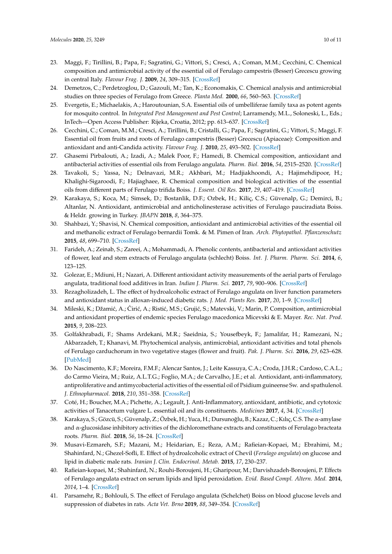- <span id="page-9-0"></span>23. Maggi, F.; Tirillini, B.; Papa, F.; Sagratini, G.; Vittori, S.; Cresci, A.; Coman, M.M.; Cecchini, C. Chemical composition and antimicrobial activity of the essential oil of Ferulago campestris (Besser) Grecescu growing in central Italy. *Flavour Frag. J.* **2009**, *24*, 309–315. [\[CrossRef\]](http://dx.doi.org/10.1002/ffj.1941)
- <span id="page-9-1"></span>24. Demetzos, C.; Perdetzoglou, D.; Gazouli, M.; Tan, K.; Economakis, C. Chemical analysis and antimicrobial studies on three species of Ferulago from Greece. *Planta Med.* **2000**, *66*, 560–563. [\[CrossRef\]](http://dx.doi.org/10.1055/s-2000-8652)
- <span id="page-9-2"></span>25. Evergetis, E.; Michaelakis, A.; Haroutounian, S.A. Essential oils of umbelliferae family taxa as potent agents for mosquito control. In *Integrated Pest Management and Pest Control*; Larramendy, M.L., Soloneski, L., Eds.; InTech—Open Access Publisher: Rijeka, Croatia, 2012; pp. 613–637. [\[CrossRef\]](http://dx.doi.org/10.5772/31777)
- <span id="page-9-3"></span>26. Cecchini, C.; Coman, M.M.; Cresci, A.; Tirillini, B.; Cristalli, G.; Papa, F.; Sagratini, G.; Vittori, S.; Maggi, F. Essential oil from fruits and roots of Ferulago campestris (Besser) Grecescu (Apiaceae): Composition and antioxidant and anti-Candida activity. *Flavour Frag. J.* **2010**, *25*, 493–502. [\[CrossRef\]](http://dx.doi.org/10.1002/ffj.2010)
- <span id="page-9-4"></span>27. Ghasemi Pirbalouti, A.; Izadi, A.; Malek Poor, F.; Hamedi, B. Chemical composition, antioxidant and antibacterial activities of essential oils from Ferulago angulata. *Pharm. Biol.* **2016**, *54*, 2515–2520. [\[CrossRef\]](http://dx.doi.org/10.3109/13880209.2016.1162816)
- <span id="page-9-5"></span>28. Tavakoli, S.; Yassa, N.; Delnavazi, M.R.; Akhbari, M.; Hadjiakhoondi, A.; Hajimehdipoor, H.; Khalighi-Sigaroodi, F.; Hajiaghaee, R. Chemical composition and biological activities of the essential oils from different parts of Ferulago trifida Boiss. *J. Essent. Oil Res.* **2017**, *29*, 407–419. [\[CrossRef\]](http://dx.doi.org/10.1080/10412905.2017.1313178)
- <span id="page-9-6"></span>29. Karakaya, S.; Koca, M.; Simsek, D.; Bostanlik, D.F.; Ozbek, H.; Kiliç, C.S.; Güvenalp, G.; Demirci, B.; Altanlar, N. Antioxidant, antimicrobial and anticholinesterase activities of Ferulago pauciradiata Boiss. & Heldr. growing in Turkey. *JBAPN* **2018**, *8*, 364–375.
- <span id="page-9-7"></span>30. Shahbazi, Y.; Shavisi, N. Chemical composition, antioxidant and antimicrobial activities of the essential oil and methanolic extract of Ferulago bernardii Tomk. & M. Pimen of Iran. *Arch. Phytopathol. Pflanzenschutz* **2015**, *48*, 699–710. [\[CrossRef\]](http://dx.doi.org/10.1080/03235408.2016.1140565)
- <span id="page-9-8"></span>31. Farideh, A.; Zeinab, S.; Zareei, A.; Mohammadi, A. Phenolic contents, antibacterial and antioxidant activities of flower, leaf and stem extracts of Ferulago angulata (schlecht) Boiss. *Int. J. Pharm. Pharm. Sci.* **2014**, *6*, 123–125.
- <span id="page-9-9"></span>32. Golezar, E.; Mdiuni, H.; Nazari, A. Different antioxidant activity measurements of the aerial parts of Ferulago angulata, traditional food additives in Iran. *Indian J. Pharm. Sci.* **2017**, *79*, 900–906. [\[CrossRef\]](http://dx.doi.org/10.4172/pharmaceutical-sciences.1000306)
- <span id="page-9-10"></span>33. Rezagholizadeh, L. The effect of hydroalcoholic extract of Ferulago angulata on liver function parameters and antioxidant status in alloxan-induced diabetic rats. *J. Med. Plants Res.* **2017**, *20*, 1–9. [\[CrossRef\]](http://dx.doi.org/10.9734/EJMP/2017/35134)
- <span id="page-9-11"></span>34. Mileski, K.; Džamić, A.; Ćirić, A.; Ristić, M.S.; Grujić, S.; Matevski, V.; Marin, P. Composition, antimicrobial and antioxidant properties of endemic species Ferulago macedonica Micevski & E. Mayer. *Rec. Nat. Prod.* **2015**, *9*, 208–223.
- <span id="page-9-12"></span>35. Golfakhrabadi, F.; Shams Ardekani, M.R.; Saeidnia, S.; Yousefbeyk, F.; Jamalifar, H.; Ramezani, N.; Akbarzadeh, T.; Khanavi, M. Phytochemical analysis, antimicrobial, antioxidant activities and total phenols of Ferulago carduchorum in two vegetative stages (flower and fruit). *Pak. J. Pharm. Sci.* **2016**, *29*, 623–628. [\[PubMed\]](http://www.ncbi.nlm.nih.gov/pubmed/27087085)
- <span id="page-9-13"></span>36. Do Nascimento, K.F.; Moreira, F.M.F.; Alencar Santos, J.; Leite Kassuya, C.A.; Croda, J.H.R.; Cardoso, C.A.L.; do Carmo Vieira, M.; Ruiz, A.L.T.G.; Foglio, M.A.; de Carvalho, J.E.; et al. Antioxidant, anti-inflammatory, antiproliferative and antimycobacterial activities of the essential oil of Psidium guineense Sw. and spathulenol. *J. Ethnopharmacol.* **2018**, *210*, 351–358. [\[CrossRef\]](http://dx.doi.org/10.1016/j.jep.2017.08.030)
- <span id="page-9-14"></span>37. Coté, H.; Boucher, M.A.; Pichette, A.; Legault, J. Anti-Inflammatory, antioxidant, antibiotic, and cytotoxic activities of Tanacetum vulgare L. essential oil and its constituents. *Medicines* **2017**, *4*, 34. [\[CrossRef\]](http://dx.doi.org/10.3390/medicines4020034)
- <span id="page-9-15"></span>38. Karakaya, S.; Gözcü, S.; Güvenalp, Z.; Özbek, H.; Yuca, H.; Dursunoğlu, B.; Kazaz, C.; Kılıç, C.S. The α-amylase and α-glucosidase inhibitory activities of the dichloromethane extracts and constituents of Ferulago bracteata roots. *Pharm. Biol.* **2018**, *56*, 18–24. [\[CrossRef\]](http://dx.doi.org/10.1080/13880209.2017.1414857)
- <span id="page-9-16"></span>39. Musavi-Ezmareh, S.F.; Mazani, M.; Heidarian, E.; Reza, A.M.; Rafieian-Kopaei, M.; Ebrahimi, M.; Shahinfard, N.; Ghezel-Sofli, E. Effect of hydroalcoholic extract of Chevil (*Ferulago angulata*) on glucose and lipid in diabetic male rats. *Iranian J. Clin. Endocrinol. Metab.* **2015**, *17*, 230–237.
- <span id="page-9-17"></span>40. Rafieian-kopaei, M.; Shahinfard, N.; Rouhi-Boroujeni, H.; Gharipour, M.; Darvishzadeh-Boroujeni, P. Effects of Ferulago angulata extract on serum lipids and lipid peroxidation. *Evid. Based Compl. Altern. Med.* **2014**, *2014*, 1–4. [\[CrossRef\]](http://dx.doi.org/10.1155/2014/680856)
- <span id="page-9-18"></span>41. Parsamehr, R.; Bohlouli, S. The effect of Ferulago angulata (Schelchet) Boiss on blood glucose levels and suppression of diabetes in rats. *Acta Vet. Brno* **2019**, *88*, 349–354. [\[CrossRef\]](http://dx.doi.org/10.2754/avb201988030349)